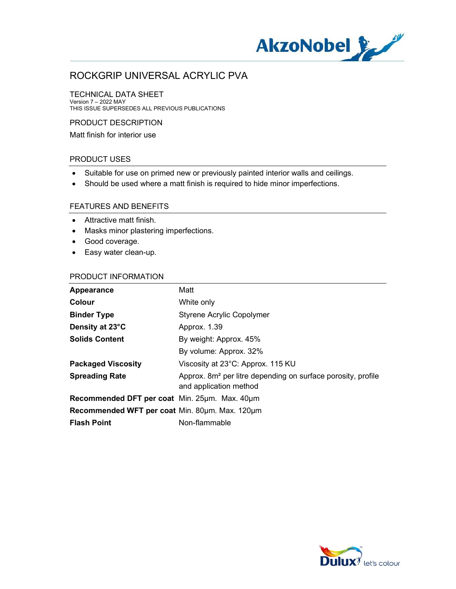

#### TECHNICAL DATA SHEET

Version 7 – 2022 MAY THIS ISSUE SUPERSEDES ALL PREVIOUS PUBLICATIONS

#### PRODUCT DESCRIPTION

Matt finish for interior use

#### PRODUCT USES

- Suitable for use on primed new or previously painted interior walls and ceilings.
- Should be used where a matt finish is required to hide minor imperfections.

#### FEATURES AND BENEFITS

- Attractive matt finish.
- Masks minor plastering imperfections.
- Good coverage.
- Easy water clean-up.

#### PRODUCT INFORMATION

| Appearance                                     | Matt                                                                                               |
|------------------------------------------------|----------------------------------------------------------------------------------------------------|
| Colour                                         | White only                                                                                         |
| <b>Binder Type</b>                             | <b>Styrene Acrylic Copolymer</b>                                                                   |
| Density at 23°C                                | Approx. 1.39                                                                                       |
| <b>Solids Content</b>                          | By weight: Approx. 45%                                                                             |
|                                                | By volume: Approx. 32%                                                                             |
| <b>Packaged Viscosity</b>                      | Viscosity at 23°C: Approx. 115 KU                                                                  |
| <b>Spreading Rate</b>                          | Approx. 8m <sup>2</sup> per litre depending on surface porosity, profile<br>and application method |
| Recommended DFT per coat Min. 25µm. Max. 40µm  |                                                                                                    |
| Recommended WFT per coat Min. 80um. Max. 120um |                                                                                                    |
| <b>Flash Point</b>                             | Non-flammable                                                                                      |

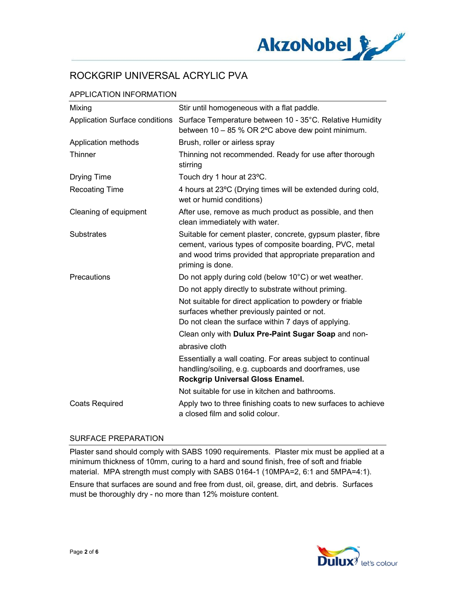

### APPLICATION INFORMATION

| Mixing                         | Stir until homogeneous with a flat paddle.                                                                                                                                                              |
|--------------------------------|---------------------------------------------------------------------------------------------------------------------------------------------------------------------------------------------------------|
| Application Surface conditions | Surface Temperature between 10 - 35°C. Relative Humidity<br>between 10 - 85 % OR 2°C above dew point minimum.                                                                                           |
| Application methods            | Brush, roller or airless spray                                                                                                                                                                          |
| Thinner                        | Thinning not recommended. Ready for use after thorough<br>stirring                                                                                                                                      |
| <b>Drying Time</b>             | Touch dry 1 hour at 23°C.                                                                                                                                                                               |
| <b>Recoating Time</b>          | 4 hours at 23°C (Drying times will be extended during cold,<br>wet or humid conditions)                                                                                                                 |
| Cleaning of equipment          | After use, remove as much product as possible, and then<br>clean immediately with water.                                                                                                                |
| <b>Substrates</b>              | Suitable for cement plaster, concrete, gypsum plaster, fibre<br>cement, various types of composite boarding, PVC, metal<br>and wood trims provided that appropriate preparation and<br>priming is done. |
| Precautions                    | Do not apply during cold (below 10°C) or wet weather.                                                                                                                                                   |
|                                | Do not apply directly to substrate without priming.                                                                                                                                                     |
|                                | Not suitable for direct application to powdery or friable<br>surfaces whether previously painted or not.<br>Do not clean the surface within 7 days of applying.                                         |
|                                | Clean only with Dulux Pre-Paint Sugar Soap and non-                                                                                                                                                     |
|                                | abrasive cloth                                                                                                                                                                                          |
|                                | Essentially a wall coating. For areas subject to continual<br>handling/soiling, e.g. cupboards and doorframes, use<br>Rockgrip Universal Gloss Enamel.                                                  |
|                                | Not suitable for use in kitchen and bathrooms.                                                                                                                                                          |
| <b>Coats Required</b>          | Apply two to three finishing coats to new surfaces to achieve<br>a closed film and solid colour.                                                                                                        |

#### SURFACE PREPARATION

Plaster sand should comply with SABS 1090 requirements. Plaster mix must be applied at a minimum thickness of 10mm, curing to a hard and sound finish, free of soft and friable material. MPA strength must comply with SABS 0164-1 (10MPA=2, 6:1 and 5MPA=4:1).

Ensure that surfaces are sound and free from dust, oil, grease, dirt, and debris. Surfaces must be thoroughly dry - no more than 12% moisture content.

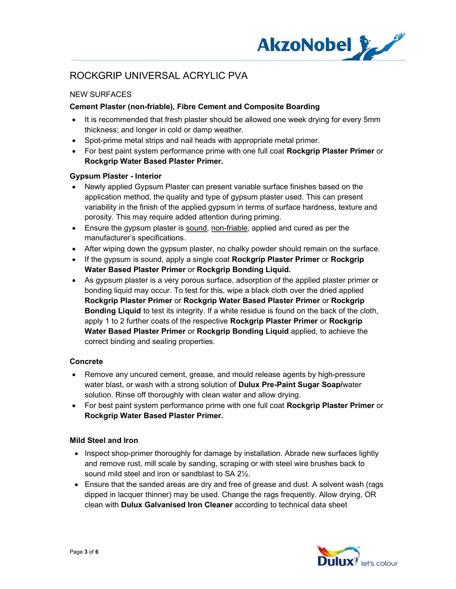

## NEW SURFACES

### Cement Plaster (non-friable), Fibre Cement and Composite Boarding

- It is recommended that fresh plaster should be allowed one week drying for every 5mm thickness; and longer in cold or damp weather.
- Spot-prime metal strips and nail heads with appropriate metal primer.
- For best paint system performance prime with one full coat Rockgrip Plaster Primer or Rockgrip Water Based Plaster Primer.

#### Gypsum Plaster - Interior

- Newly applied Gypsum Plaster can present variable surface finishes based on the application method, the quality and type of gypsum plaster used. This can present variability in the finish of the applied gypsum in terms of surface hardness, texture and porosity. This may require added attention during priming.
- Ensure the gypsum plaster is sound, non-friable, applied and cured as per the manufacturer's specifications.
- After wiping down the gypsum plaster, no chalky powder should remain on the surface.
- If the gypsum is sound, apply a single coat **Rockgrip Plaster Primer** or **Rockgrip** Water Based Plaster Primer or Rockgrip Bonding Liquid.
- As gypsum plaster is a very porous surface, adsorption of the applied plaster primer or bonding liquid may occur. To test for this, wipe a black cloth over the dried applied Rockgrip Plaster Primer or Rockgrip Water Based Plaster Primer or Rockgrip Bonding Liquid to test its integrity. If a white residue is found on the back of the cloth, apply 1 to 2 further coats of the respective Rockgrip Plaster Primer or Rockgrip Water Based Plaster Primer or Rockgrip Bonding Liquid applied, to achieve the correct binding and sealing properties.

#### Concrete

- Remove any uncured cement, grease, and mould release agents by high-pressure water blast, or wash with a strong solution of **Dulux Pre-Paint Sugar Soap/water** solution. Rinse off thoroughly with clean water and allow drying.
- For best paint system performance prime with one full coat Rockgrip Plaster Primer or Rockgrip Water Based Plaster Primer.

#### Mild Steel and Iron

- Inspect shop-primer thoroughly for damage by installation. Abrade new surfaces lightly and remove rust, mill scale by sanding, scraping or with steel wire brushes back to sound mild steel and iron or sandblast to SA 2½.
- Ensure that the sanded areas are dry and free of grease and dust. A solvent wash (rags) dipped in lacquer thinner) may be used. Change the rags frequently. Allow drying, OR clean with Dulux Galvanised Iron Cleaner according to technical data sheet

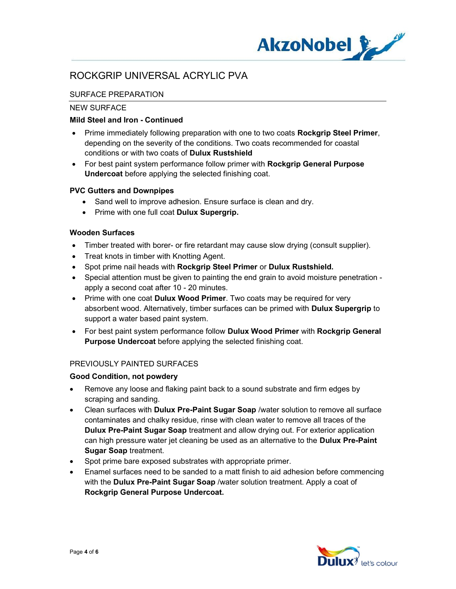

### SURFACE PREPARATION

#### NEW SURFACE

#### Mild Steel and Iron - Continued

- Prime immediately following preparation with one to two coats Rockgrip Steel Primer, depending on the severity of the conditions. Two coats recommended for coastal conditions or with two coats of Dulux Rustshield
- For best paint system performance follow primer with Rockgrip General Purpose Undercoat before applying the selected finishing coat.

#### PVC Gutters and Downpipes

- Sand well to improve adhesion. Ensure surface is clean and dry.
- Prime with one full coat Dulux Supergrip.

#### Wooden Surfaces

- Timber treated with borer- or fire retardant may cause slow drying (consult supplier).
- Treat knots in timber with Knotting Agent.
- Spot prime nail heads with Rockgrip Steel Primer or Dulux Rustshield.
- Special attention must be given to painting the end grain to avoid moisture penetration apply a second coat after 10 - 20 minutes.
- Prime with one coat Dulux Wood Primer. Two coats may be required for very absorbent wood. Alternatively, timber surfaces can be primed with Dulux Supergrip to support a water based paint system.
- For best paint system performance follow Dulux Wood Primer with Rockgrip General Purpose Undercoat before applying the selected finishing coat.

### PREVIOUSLY PAINTED SURFACES

#### Good Condition, not powdery

- Remove any loose and flaking paint back to a sound substrate and firm edges by scraping and sanding.
- Clean surfaces with Dulux Pre-Paint Sugar Soap /water solution to remove all surface contaminates and chalky residue, rinse with clean water to remove all traces of the Dulux Pre-Paint Sugar Soap treatment and allow drying out. For exterior application can high pressure water jet cleaning be used as an alternative to the Dulux Pre-Paint Sugar Soap treatment.
- Spot prime bare exposed substrates with appropriate primer.
- Enamel surfaces need to be sanded to a matt finish to aid adhesion before commencing with the Dulux Pre-Paint Sugar Soap /water solution treatment. Apply a coat of Rockgrip General Purpose Undercoat.

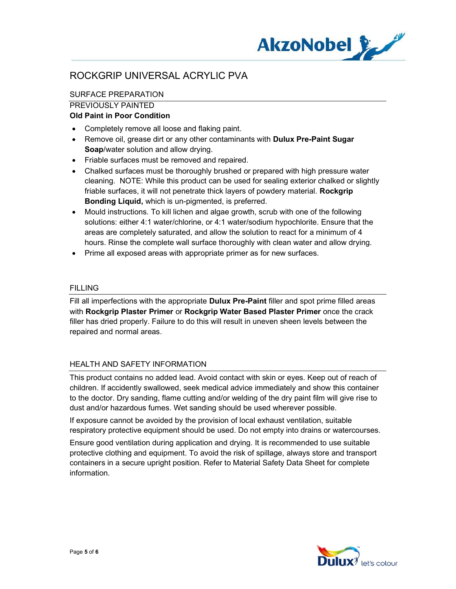

## SURFACE PREPARATION

#### PREVIOUSLY PAINTED

### Old Paint in Poor Condition

- Completely remove all loose and flaking paint.
- Remove oil, grease dirt or any other contaminants with **Dulux Pre-Paint Sugar** Soap/water solution and allow drying.
- Friable surfaces must be removed and repaired.
- Chalked surfaces must be thoroughly brushed or prepared with high pressure water cleaning. NOTE: While this product can be used for sealing exterior chalked or slightly friable surfaces, it will not penetrate thick layers of powdery material. Rockgrip Bonding Liquid, which is un-pigmented, is preferred.
- Mould instructions. To kill lichen and algae growth, scrub with one of the following solutions: either 4:1 water/chlorine, or 4:1 water/sodium hypochlorite. Ensure that the areas are completely saturated, and allow the solution to react for a minimum of 4 hours. Rinse the complete wall surface thoroughly with clean water and allow drying.
- Prime all exposed areas with appropriate primer as for new surfaces.

#### **FILLING**

Fill all imperfections with the appropriate **Dulux Pre-Paint** filler and spot prime filled areas with Rockgrip Plaster Primer or Rockgrip Water Based Plaster Primer once the crack filler has dried properly. Failure to do this will result in uneven sheen levels between the repaired and normal areas.

### HEALTH AND SAFETY INFORMATION

This product contains no added lead. Avoid contact with skin or eyes. Keep out of reach of children. If accidently swallowed, seek medical advice immediately and show this container to the doctor. Dry sanding, flame cutting and/or welding of the dry paint film will give rise to dust and/or hazardous fumes. Wet sanding should be used wherever possible.

If exposure cannot be avoided by the provision of local exhaust ventilation, suitable respiratory protective equipment should be used. Do not empty into drains or watercourses.

Ensure good ventilation during application and drying. It is recommended to use suitable protective clothing and equipment. To avoid the risk of spillage, always store and transport containers in a secure upright position. Refer to Material Safety Data Sheet for complete information.